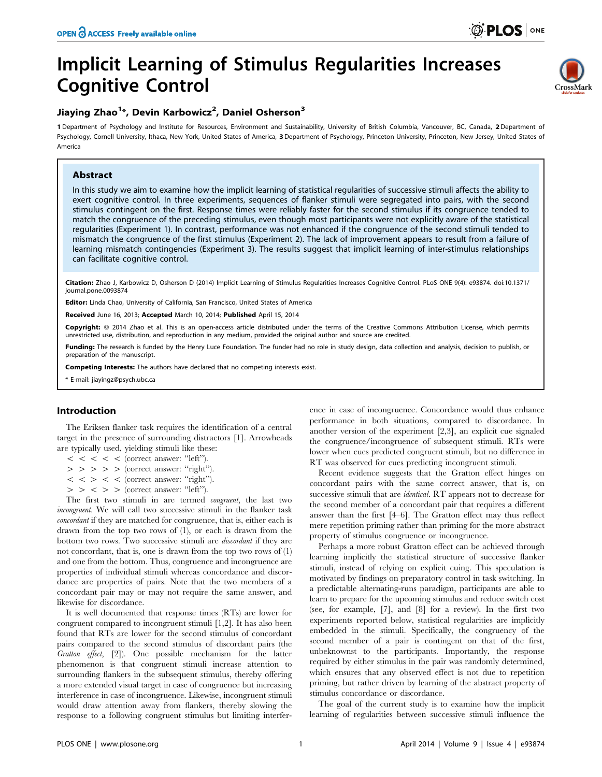# Implicit Learning of Stimulus Regularities Increases Cognitive Control

# Jiaying Zhao<sup>1</sup>\*, Devin Karbowicz<sup>2</sup>, Daniel Osherson<sup>3</sup>

1 Department of Psychology and Institute for Resources, Environment and Sustainability, University of British Columbia, Vancouver, BC, Canada, 2Department of Psychology, Cornell University, Ithaca, New York, United States of America, 3 Department of Psychology, Princeton University, Princeton, New Jersey, United States of America

### Abstract

In this study we aim to examine how the implicit learning of statistical regularities of successive stimuli affects the ability to exert cognitive control. In three experiments, sequences of flanker stimuli were segregated into pairs, with the second stimulus contingent on the first. Response times were reliably faster for the second stimulus if its congruence tended to match the congruence of the preceding stimulus, even though most participants were not explicitly aware of the statistical regularities (Experiment 1). In contrast, performance was not enhanced if the congruence of the second stimuli tended to mismatch the congruence of the first stimulus (Experiment 2). The lack of improvement appears to result from a failure of learning mismatch contingencies (Experiment 3). The results suggest that implicit learning of inter-stimulus relationships can facilitate cognitive control.

Citation: Zhao J, Karbowicz D, Osherson D (2014) Implicit Learning of Stimulus Regularities Increases Cognitive Control. PLoS ONE 9(4): e93874. doi:10.1371/ journal.pone.0093874

Editor: Linda Chao, University of California, San Francisco, United States of America

Received June 16, 2013; Accepted March 10, 2014; Published April 15, 2014

Copyright: © 2014 Zhao et al. This is an open-access article distributed under the terms of the [Creative Commons Attribution License,](http://creativecommons.org/licenses/by/4.0/) which permits unrestricted use, distribution, and reproduction in any medium, provided the original author and source are credited.

**Funding:** The research is funded by the Henry Luce Foundation. The funder had no role in study design, data collection and analysis, decision to publish, or preparation of the manuscript.

Competing Interests: The authors have declared that no competing interests exist.

\* E-mail: jiayingz@psych.ubc.ca

## Introduction

The Eriksen flanker task requires the identification of a central target in the presence of surrounding distractors [1]. Arrowheads are typically used, yielding stimuli like these:

 $\langle \langle \rangle \langle \rangle \langle \rangle \langle \rangle \langle \rangle \langle \rangle \langle \rangle \langle \rangle$  (correct answer: "left").

 $>$  > > > (correct answer: "right").

 $\langle \langle \rangle \rangle \langle \langle \rangle \rangle$  (correct answer: "right").

 $>$  >  $>$  >  $>$  (correct answer: "left").

The first two stimuli in are termed congruent, the last two incongruent. We will call two successive stimuli in the flanker task concordant if they are matched for congruence, that is, either each is drawn from the top two rows of (1), or each is drawn from the bottom two rows. Two successive stimuli are discordant if they are not concordant, that is, one is drawn from the top two rows of (1) and one from the bottom. Thus, congruence and incongruence are properties of individual stimuli whereas concordance and discordance are properties of pairs. Note that the two members of a concordant pair may or may not require the same answer, and likewise for discordance.

It is well documented that response times (RTs) are lower for congruent compared to incongruent stimuli [1,2]. It has also been found that RTs are lower for the second stimulus of concordant pairs compared to the second stimulus of discordant pairs (the Gratton effect, [2]). One possible mechanism for the latter phenomenon is that congruent stimuli increase attention to surrounding flankers in the subsequent stimulus, thereby offering a more extended visual target in case of congruence but increasing interference in case of incongruence. Likewise, incongruent stimuli would draw attention away from flankers, thereby slowing the response to a following congruent stimulus but limiting interference in case of incongruence. Concordance would thus enhance performance in both situations, compared to discordance. In another version of the experiment [2,3], an explicit cue signaled the congruence/incongruence of subsequent stimuli. RTs were lower when cues predicted congruent stimuli, but no difference in RT was observed for cues predicting incongruent stimuli.

Recent evidence suggests that the Gratton effect hinges on concordant pairs with the same correct answer, that is, on successive stimuli that are *identical*. RT appears not to decrease for the second member of a concordant pair that requires a different answer than the first [4–6]. The Gratton effect may thus reflect mere repetition priming rather than priming for the more abstract property of stimulus congruence or incongruence.

Perhaps a more robust Gratton effect can be achieved through learning implicitly the statistical structure of successive flanker stimuli, instead of relying on explicit cuing. This speculation is motivated by findings on preparatory control in task switching. In a predictable alternating-runs paradigm, participants are able to learn to prepare for the upcoming stimulus and reduce switch cost (see, for example, [7], and [8] for a review). In the first two experiments reported below, statistical regularities are implicitly embedded in the stimuli. Specifically, the congruency of the second member of a pair is contingent on that of the first, unbeknownst to the participants. Importantly, the response required by either stimulus in the pair was randomly determined, which ensures that any observed effect is not due to repetition priming, but rather driven by learning of the abstract property of stimulus concordance or discordance.

The goal of the current study is to examine how the implicit learning of regularities between successive stimuli influence the

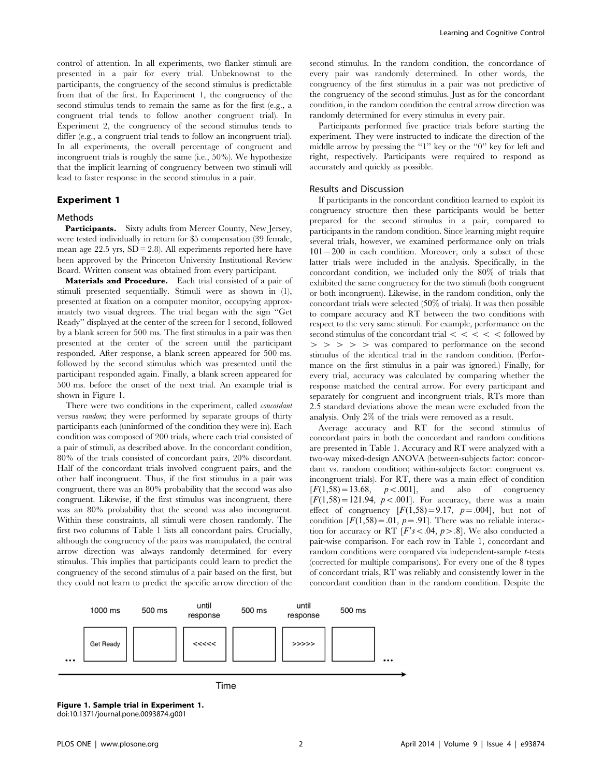control of attention. In all experiments, two flanker stimuli are presented in a pair for every trial. Unbeknownst to the participants, the congruency of the second stimulus is predictable from that of the first. In Experiment 1, the congruency of the second stimulus tends to remain the same as for the first (e.g., a congruent trial tends to follow another congruent trial). In Experiment 2, the congruency of the second stimulus tends to differ (e.g., a congruent trial tends to follow an incongruent trial). In all experiments, the overall percentage of congruent and incongruent trials is roughly the same (i.e., 50%). We hypothesize that the implicit learning of congruency between two stimuli will lead to faster response in the second stimulus in a pair.

#### Experiment 1

#### Methods

Participants. Sixty adults from Mercer County, New Jersey, were tested individually in return for \$5 compensation (39 female, mean age 22.5 yrs, SD = 2.8). All experiments reported here have been approved by the Princeton University Institutional Review Board. Written consent was obtained from every participant.

Materials and Procedure. Each trial consisted of a pair of stimuli presented sequentially. Stimuli were as shown in (1), presented at fixation on a computer monitor, occupying approximately two visual degrees. The trial began with the sign ''Get Ready'' displayed at the center of the screen for 1 second, followed by a blank screen for 500 ms. The first stimulus in a pair was then presented at the center of the screen until the participant responded. After response, a blank screen appeared for 500 ms. followed by the second stimulus which was presented until the participant responded again. Finally, a blank screen appeared for 500 ms. before the onset of the next trial. An example trial is shown in Figure 1.

There were two conditions in the experiment, called *concordant* versus random; they were performed by separate groups of thirty participants each (uninformed of the condition they were in). Each condition was composed of 200 trials, where each trial consisted of a pair of stimuli, as described above. In the concordant condition, 80% of the trials consisted of concordant pairs, 20% discordant. Half of the concordant trials involved congruent pairs, and the other half incongruent. Thus, if the first stimulus in a pair was congruent, there was an 80% probability that the second was also congruent. Likewise, if the first stimulus was incongruent, there was an 80% probability that the second was also incongruent. Within these constraints, all stimuli were chosen randomly. The first two columns of Table 1 lists all concordant pairs. Crucially, although the congruency of the pairs was manipulated, the central arrow direction was always randomly determined for every stimulus. This implies that participants could learn to predict the congruency of the second stimulus of a pair based on the first, but they could not learn to predict the specific arrow direction of the

second stimulus. In the random condition, the concordance of every pair was randomly determined. In other words, the congruency of the first stimulus in a pair was not predictive of the congruency of the second stimulus. Just as for the concordant condition, in the random condition the central arrow direction was randomly determined for every stimulus in every pair.

Participants performed five practice trials before starting the experiment. They were instructed to indicate the direction of the middle arrow by pressing the ''1'' key or the ''0'' key for left and right, respectively. Participants were required to respond as accurately and quickly as possible.

#### Results and Discussion

If participants in the concordant condition learned to exploit its congruency structure then these participants would be better prepared for the second stimulus in a pair, compared to participants in the random condition. Since learning might require several trials, however, we examined performance only on trials  $101 - 200$  in each condition. Moreover, only a subset of these latter trials were included in the analysis. Specifically, in the concordant condition, we included only the 80% of trials that exhibited the same congruency for the two stimuli (both congruent or both incongruent). Likewise, in the random condition, only the concordant trials were selected (50% of trials). It was then possible to compare accuracy and RT between the two conditions with respect to the very same stimuli. For example, performance on the second stimulus of the concordant trial  $\langle \langle \langle \rangle \rangle \langle \rangle$  followed by  $>$  > > > > was compared to performance on the second stimulus of the identical trial in the random condition. (Performance on the first stimulus in a pair was ignored.) Finally, for every trial, accuracy was calculated by comparing whether the response matched the central arrow. For every participant and separately for congruent and incongruent trials, RTs more than 2:5 standard deviations above the mean were excluded from the analysis. Only 2% of the trials were removed as a result.

Average accuracy and RT for the second stimulus of concordant pairs in both the concordant and random conditions are presented in Table 1. Accuracy and RT were analyzed with a two-way mixed-design ANOVA (between-subjects factor: concordant vs. random condition; within-subjects factor: congruent vs. incongruent trials). For RT, there was a main effect of condition  $[F(1,58) = 13.68, p < .001]$ , and also of congruency  $[F(1,58)=121.94, p<.001]$ . For accuracy, there was a main effect of congruency  $[F(1,58)=9.17, p=.004]$ , but not of condition  $[F(1,58)=.01, p=.91]$ . There was no reliable interaction for accuracy or RT  $[F's < 0.04, p > 0.8]$ . We also conducted a pair-wise comparison. For each row in Table 1, concordant and random conditions were compared via independent-sample t-tests (corrected for multiple comparisons). For every one of the 8 types of concordant trials, RT was reliably and consistently lower in the concordant condition than in the random condition. Despite the



Figure 1. Sample trial in Experiment 1. doi:10.1371/journal.pone.0093874.g001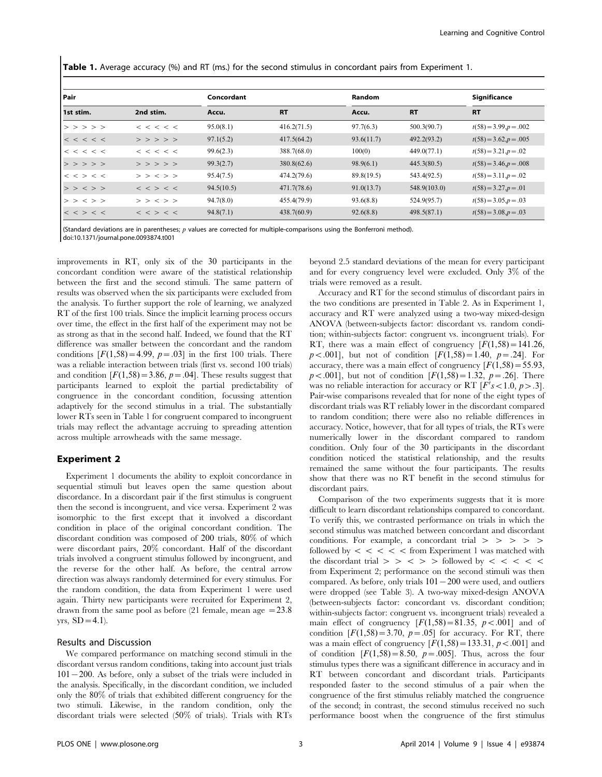**Table 1.** Average accuracy (%) and RT (ms.) for the second stimulus in concordant pairs from Experiment 1.

| Pair                          |                               | Concordant |             | Random     |              | Significance             |
|-------------------------------|-------------------------------|------------|-------------|------------|--------------|--------------------------|
| 1st stim.                     | 2nd stim.                     | Accu.      | <b>RT</b>   | Accu.      | <b>RT</b>    | <b>RT</b>                |
| $>$ > > > >                   | $<$ $<$ $<$ $<$ $<$           | 95.0(8.1)  | 416.2(71.5) | 97.7(6.3)  | 500.3(90.7)  | $t(58) = 3.99, p = .002$ |
| $\lt$ $\lt$ $\lt$ $\lt$ $\lt$ | $>$ > > > >                   | 97.1(5.2)  | 417.5(64.2) | 93.6(11.7) | 492.2(93.2)  | $t(58) = 3.62, p = .005$ |
| $\lt$ $\lt$ $\lt$ $\lt$ $\lt$ | $<$ $<$ $<$ $<$ $<$           | 99.6(2.3)  | 388.7(68.0) | 100(0)     | 449.0(77.1)  | $t(58) = 3.21, p = .02$  |
| $>$ > > > >                   | $>$ > > > >                   | 99.3(2.7)  | 380.8(62.6) | 98.9(6.1)  | 445.3(80.5)  | $t(58) = 3.46, p = .008$ |
| $\lt$ $\lt$ $\gt$ $\lt$ $\lt$ | $>$ > $<$ > >                 | 95.4(7.5)  | 474.2(79.6) | 89.8(19.5) | 543.4(92.5)  | $t(58) = 3.11, p = .02$  |
| $>$ > < > >                   | $\lt$ $\lt$ $\gt$ $\lt$ $\lt$ | 94.5(10.5) | 471.7(78.6) | 91.0(13.7) | 548.9(103.0) | $t(58) = 3.27, p = .01$  |
| $>$ > < > >                   | $>$ > $<$ > >                 | 94.7(8.0)  | 455.4(79.9) | 93.6(8.8)  | 524.9(95.7)  | $t(58) = 3.05, p = .03$  |
| $\lt$ $\lt$ $>$ $\lt$ $\lt$   | $<$ $<$ $>$ $<$ $<$           | 94.8(7.1)  | 438.7(60.9) | 92.6(8.8)  | 498.5(87.1)  | $t(58) = 3.08, p = .03$  |

(Standard deviations are in parentheses;  $p$  values are corrected for multiple-comparisons using the Bonferroni method). doi:10.1371/journal.pone.0093874.t001

improvements in RT, only six of the 30 participants in the concordant condition were aware of the statistical relationship between the first and the second stimuli. The same pattern of results was observed when the six participants were excluded from the analysis. To further support the role of learning, we analyzed RT of the first 100 trials. Since the implicit learning process occurs over time, the effect in the first half of the experiment may not be as strong as that in the second half. Indeed, we found that the RT difference was smaller between the concordant and the random conditions  $[F(1,58)=4.99, p=.03]$  in the first 100 trials. There was a reliable interaction between trials (first vs. second 100 trials) and condition  $[F(1,58) = 3.86, p = .04]$ . These results suggest that participants learned to exploit the partial predictability of congruence in the concordant condition, focussing attention adaptively for the second stimulus in a trial. The substantially lower RTs seen in Table 1 for congruent compared to incongruent trials may reflect the advantage accruing to spreading attention across multiple arrowheads with the same message.

#### Experiment 2

Experiment 1 documents the ability to exploit concordance in sequential stimuli but leaves open the same question about discordance. In a discordant pair if the first stimulus is congruent then the second is incongruent, and vice versa. Experiment 2 was isomorphic to the first except that it involved a discordant condition in place of the original concordant condition. The discordant condition was composed of 200 trials, 80% of which were discordant pairs, 20% concordant. Half of the discordant trials involved a congruent stimulus followed by incongruent, and the reverse for the other half. As before, the central arrow direction was always randomly determined for every stimulus. For the random condition, the data from Experiment 1 were used again. Thirty new participants were recruited for Experiment 2, drawn from the same pool as before (21 female, mean age  $=23.8$ ) yrs,  $SD=4.1$ ).

#### Results and Discussion

We compared performance on matching second stimuli in the discordant versus random conditions, taking into account just trials  $101 - 200$ . As before, only a subset of the trials were included in the analysis. Specifically, in the discordant condition, we included only the 80% of trials that exhibited different congruency for the two stimuli. Likewise, in the random condition, only the discordant trials were selected (50% of trials). Trials with RTs

beyond 2.5 standard deviations of the mean for every participant and for every congruency level were excluded. Only 3% of the trials were removed as a result.

Accuracy and RT for the second stimulus of discordant pairs in the two conditions are presented in Table 2. As in Experiment 1, accuracy and RT were analyzed using a two-way mixed-design ANOVA (between-subjects factor: discordant vs. random condition; within-subjects factor: congruent vs. incongruent trials). For RT, there was a main effect of congruency  $[F(1,58) = 141.26,$  $p < .001$ ], but not of condition  $[F(1,58) = 1.40, p = .24]$ . For accuracy, there was a main effect of congruency  $[F(1,58) = 55.93]$ ,  $p < .001$ ], but not of condition  $[F(1,58) = 1.32, p = .26]$ . There was no reliable interaction for accuracy or RT  $[F's < 1.0, p > .3]$ . Pair-wise comparisons revealed that for none of the eight types of discordant trials was RT reliably lower in the discordant compared to random condition; there were also no reliable differences in accuracy. Notice, however, that for all types of trials, the RTs were numerically lower in the discordant compared to random condition. Only four of the 30 participants in the discordant condition noticed the statistical relationship, and the results remained the same without the four participants. The results show that there was no RT benefit in the second stimulus for discordant pairs.

Comparison of the two experiments suggests that it is more difficult to learn discordant relationships compared to concordant. To verify this, we contrasted performance on trials in which the second stimulus was matched between concordant and discordant conditions. For example, a concordant trial  $>$  > > > > followed by vvvvv from Experiment 1 was matched with the discordant trial  $\gt$   $>$   $\lt$   $>$   $\gt$  followed by  $\lt$   $\lt$   $\lt$   $\lt$ from Experiment 2; performance on the second stimuli was then compared. As before, only trials  $101-200$  were used, and outliers were dropped (see Table 3). A two-way mixed-design ANOVA (between-subjects factor: concordant vs. discordant condition; within-subjects factor: congruent vs. incongruent trials) revealed a main effect of congruency  $[F(1,58)=81.35, p<.001]$  and of condition  $[F(1,58) = 3.70, p = .05]$  for accuracy. For RT, there was a main effect of congruency  $[F(1,58)=133.31, p<.001]$  and of condition  $[F(1,58)=8.50, p=.005]$ . Thus, across the four stimulus types there was a significant difference in accuracy and in RT between concordant and discordant trials. Participants responded faster to the second stimulus of a pair when the congruence of the first stimulus reliably matched the congruence of the second; in contrast, the second stimulus received no such performance boost when the congruence of the first stimulus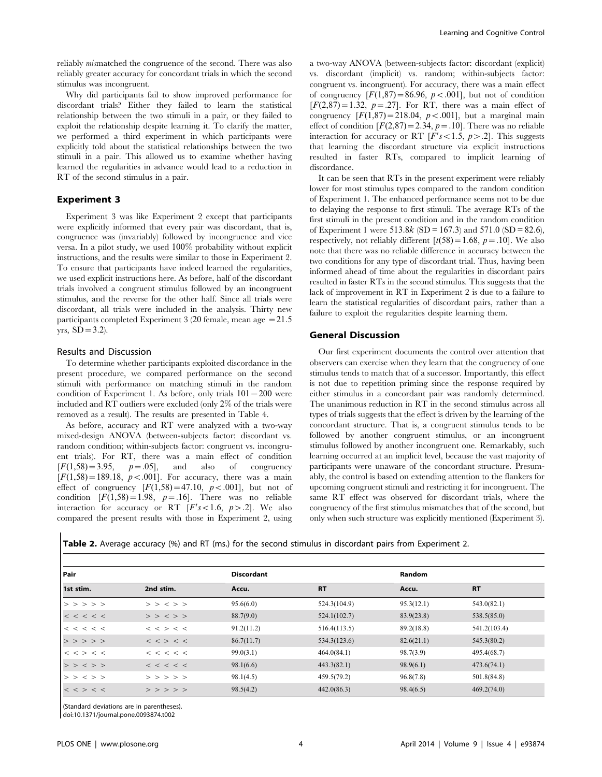reliably mismatched the congruence of the second. There was also reliably greater accuracy for concordant trials in which the second stimulus was incongruent.

Why did participants fail to show improved performance for discordant trials? Either they failed to learn the statistical relationship between the two stimuli in a pair, or they failed to exploit the relationship despite learning it. To clarify the matter, we performed a third experiment in which participants were explicitly told about the statistical relationships between the two stimuli in a pair. This allowed us to examine whether having learned the regularities in advance would lead to a reduction in RT of the second stimulus in a pair.

#### Experiment 3

Experiment 3 was like Experiment 2 except that participants were explicitly informed that every pair was discordant, that is, congruence was (invariably) followed by incongruence and vice versa. In a pilot study, we used 100% probability without explicit instructions, and the results were similar to those in Experiment 2. To ensure that participants have indeed learned the regularities, we used explicit instructions here. As before, half of the discordant trials involved a congruent stimulus followed by an incongruent stimulus, and the reverse for the other half. Since all trials were discordant, all trials were included in the analysis. Thirty new participants completed Experiment 3 (20 female, mean age  $=21.5$ )  $yrs, SD = 3.2$ .

#### Results and Discussion

To determine whether participants exploited discordance in the present procedure, we compared performance on the second stimuli with performance on matching stimuli in the random condition of Experiment 1. As before, only trials  $101-200$  were included and RT outliers were excluded (only 2% of the trials were removed as a result). The results are presented in Table 4.

As before, accuracy and RT were analyzed with a two-way mixed-design ANOVA (between-subjects factor: discordant vs. random condition; within-subjects factor: congruent vs. incongruent trials). For RT, there was a main effect of condition  $[F(1,58)=3.95, p=.05]$ , and also of congruency  $[F(1,58)=189.18, p<.001]$ . For accuracy, there was a main effect of congruency  $[F(1,58)=47.10, p<.001]$ , but not of condition  $[F(1,58)=1.98, p=.16]$ . There was no reliable interaction for accuracy or RT  $[F's < 1.6, p > .2]$ . We also compared the present results with those in Experiment 2, using

a two-way ANOVA (between-subjects factor: discordant (explicit) vs. discordant (implicit) vs. random; within-subjects factor: congruent vs. incongruent). For accuracy, there was a main effect of congruency  $[F(1,87) = 86.96, p < .001]$ , but not of condition  $[F(2,87)=1.32, p=.27]$ . For RT, there was a main effect of congruency  $[F(1,87)=218.04, p<.001]$ , but a marginal main effect of condition  $[F(2,87)=2.34, p=.10]$ . There was no reliable interaction for accuracy or RT  $[F's < 1.5, p > .2]$ . This suggests that learning the discordant structure via explicit instructions resulted in faster RTs, compared to implicit learning of discordance.

It can be seen that RTs in the present experiment were reliably lower for most stimulus types compared to the random condition of Experiment 1. The enhanced performance seems not to be due to delaying the response to first stimuli. The average RTs of the first stimuli in the present condition and in the random condition of Experiment 1 were  $513.8k$  (SD = 167.3) and  $571.0$  (SD = 82.6), respectively, not reliably different  $\lceil t(58)=1.68, p=.10$ . We also note that there was no reliable difference in accuracy between the two conditions for any type of discordant trial. Thus, having been informed ahead of time about the regularities in discordant pairs resulted in faster RTs in the second stimulus. This suggests that the lack of improvement in RT in Experiment 2 is due to a failure to learn the statistical regularities of discordant pairs, rather than a failure to exploit the regularities despite learning them.

#### General Discussion

Our first experiment documents the control over attention that observers can exercise when they learn that the congruency of one stimulus tends to match that of a successor. Importantly, this effect is not due to repetition priming since the response required by either stimulus in a concordant pair was randomly determined. The unanimous reduction in RT in the second stimulus across all types of trials suggests that the effect is driven by the learning of the concordant structure. That is, a congruent stimulus tends to be followed by another congruent stimulus, or an incongruent stimulus followed by another incongruent one. Remarkably, such learning occurred at an implicit level, because the vast majority of participants were unaware of the concordant structure. Presumably, the control is based on extending attention to the flankers for upcoming congruent stimuli and restricting it for incongruent. The same RT effect was observed for discordant trials, where the congruency of the first stimulus mismatches that of the second, but only when such structure was explicitly mentioned (Experiment 3).

Table 2. Average accuracy (%) and RT (ms.) for the second stimulus in discordant pairs from Experiment 2.

| Pair                          |                               | <b>Discordant</b> |              | <b>Random</b> |              |
|-------------------------------|-------------------------------|-------------------|--------------|---------------|--------------|
| 1st stim.                     | 2nd stim.                     | Accu.             | <b>RT</b>    | Accu.         | <b>RT</b>    |
| $>$ > > > >                   | $>$ $>$ $<$ $>$ $>$           | 95.6(6.0)         | 524.3(104.9) | 95.3(12.1)    | 543.0(82.1)  |
| $\lt$ $\lt$ $\lt$ $\lt$ $\lt$ | $>$ > < > >                   | 88.7(9.0)         | 524.1(102.7) | 83.9(23.8)    | 538.5(85.0)  |
|                               | $\lt$ $\lt$ $\gt$ $\lt$ $\lt$ | 91.2(11.2)        | 516.4(113.5) | 89.2(18.8)    | 541.2(103.4) |
| $>$ > > > >                   | $\lt$ $\lt$ $\gt$ $\lt$ $\lt$ | 86.7(11.7)        | 534.3(123.6) | 82.6(21.1)    | 545.3(80.2)  |
| $\lt$ $\lt$ $\gt$ $\lt$ $\lt$ | $<$ $<$ $<$ $<$ $<$           | 99.0(3.1)         | 464.0(84.1)  | 98.7(3.9)     | 495.4(68.7)  |
| $>$ > < > >                   | $\lt$ $\lt$ $\lt$ $\lt$ $\lt$ | 98.1(6.6)         | 443.3(82.1)  | 98.9(6.1)     | 473.6(74.1)  |
| $>$ > < > >                   | $>$ > > > >                   | 98.1(4.5)         | 459.5(79.2)  | 96.8(7.8)     | 501.8(84.8)  |
| $\lt$ $\lt$ $>$ $\lt$ $\lt$   | $>$ > > > >                   | 98.5(4.2)         | 442.0(86.3)  | 98.4(6.5)     | 469.2(74.0)  |

(Standard deviations are in parentheses).

doi:10.1371/journal.pone.0093874.t002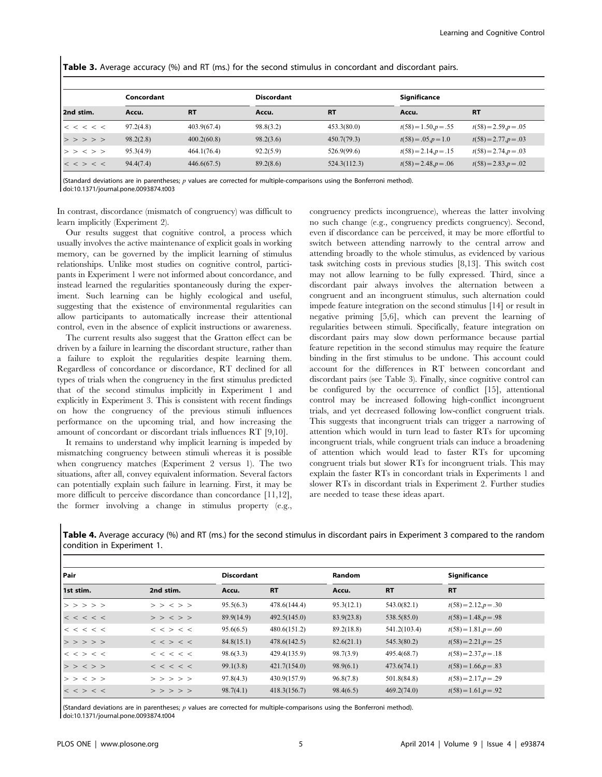**Concordant Concordant Discordant Discordant Concordant Significance** 2nd stim. Accu. RT Accu. RT Accu. RT  $\langle \langle \rangle \langle \rangle \langle \rangle = \langle \rangle \langle \rangle = 97.2(4.8)$  403.9(67.4) 98.8(3.2) 453.3(80.0) t(58) = 1.50,p = .55 t(58) = 2.59,p = .05  $\Rightarrow$   $\Rightarrow$  98.2(2.8) 400.2(60.8) 98.2(3.6) 450.7(79.3)  $t(58) = .05, p = 1.0$   $t(58) = 2.77, p = .03$  $\gamma > \langle > \rangle$  95.3(4.9) 464.1(76.4) 92.2(5.9) 526.9(99.6) t(58)=2.14,p=.15 t(58)=2.74,p=.03  $\langle \times \rangle \langle \times \rangle$  94.4(7.4) 446.6(67.5) 89.2(8.6) 524.3(112.3) t(58) = 2.48,p = .06 t(58) = 2.83,p = .02

(Standard deviations are in parentheses;  $p$  values are corrected for multiple-comparisons using the Bonferroni method). doi:10.1371/journal.pone.0093874.t003

Table 3. Average accuracy (%) and RT (ms.) for the second stimulus in concordant and discordant pairs.

In contrast, discordance (mismatch of congruency) was difficult to learn implicitly (Experiment 2).

Our results suggest that cognitive control, a process which usually involves the active maintenance of explicit goals in working memory, can be governed by the implicit learning of stimulus relationships. Unlike most studies on cognitive control, participants in Experiment 1 were not informed about concordance, and instead learned the regularities spontaneously during the experiment. Such learning can be highly ecological and useful, suggesting that the existence of environmental regularities can allow participants to automatically increase their attentional control, even in the absence of explicit instructions or awareness.

The current results also suggest that the Gratton effect can be driven by a failure in learning the discordant structure, rather than a failure to exploit the regularities despite learning them. Regardless of concordance or discordance, RT declined for all types of trials when the congruency in the first stimulus predicted that of the second stimulus implicitly in Experiment 1 and explicitly in Experiment 3. This is consistent with recent findings on how the congruency of the previous stimuli influences performance on the upcoming trial, and how increasing the amount of concordant or discordant trials influences RT [9,10].

It remains to understand why implicit learning is impeded by mismatching congruency between stimuli whereas it is possible when congruency matches (Experiment 2 versus 1). The two situations, after all, convey equivalent information. Several factors can potentially explain such failure in learning. First, it may be more difficult to perceive discordance than concordance [11,12], the former involving a change in stimulus property (e.g.,

congruency predicts incongruence), whereas the latter involving no such change (e.g., congruency predicts congruency). Second, even if discordance can be perceived, it may be more effortful to switch between attending narrowly to the central arrow and attending broadly to the whole stimulus, as evidenced by various task switching costs in previous studies [8,13]. This switch cost may not allow learning to be fully expressed. Third, since a discordant pair always involves the alternation between a congruent and an incongruent stimulus, such alternation could impede feature integration on the second stimulus [14] or result in negative priming [5,6], which can prevent the learning of regularities between stimuli. Specifically, feature integration on discordant pairs may slow down performance because partial feature repetition in the second stimulus may require the feature binding in the first stimulus to be undone. This account could account for the differences in RT between concordant and discordant pairs (see Table 3). Finally, since cognitive control can be configured by the occurrence of conflict [15], attentional control may be increased following high-conflict incongruent trials, and yet decreased following low-conflict congruent trials. This suggests that incongruent trials can trigger a narrowing of attention which would in turn lead to faster RTs for upcoming incongruent trials, while congruent trials can induce a broadening of attention which would lead to faster RTs for upcoming congruent trials but slower RTs for incongruent trials. This may explain the faster RTs in concordant trials in Experiments 1 and slower RTs in discordant trials in Experiment 2. Further studies are needed to tease these ideas apart.

Table 4. Average accuracy (%) and RT (ms.) for the second stimulus in discordant pairs in Experiment 3 compared to the random condition in Experiment 1.

| Pair                                        |                                   | <b>Discordant</b> |              | <b>Random</b> |              | Significance            |  |
|---------------------------------------------|-----------------------------------|-------------------|--------------|---------------|--------------|-------------------------|--|
| 1st stim.                                   | 2nd stim.                         | Accu.             | <b>RT</b>    | Accu.         | <b>RT</b>    | <b>RT</b>               |  |
| $>$ > > > >                                 | $>$ $>$ $<$ $>$ $>$               | 95.5(6.3)         | 478.6(144.4) | 95.3(12.1)    | 543.0(82.1)  | $t(58) = 2.12, p = .30$ |  |
| $\lt$ $\lt$ $\lt$ $\lt$ $\lt$               | $>$ > < > >                       | 89.9(14.9)        | 492.5(145.0) | 83.9(23.8)    | 538.5(85.0)  | $t(58) = 1.48, p = .98$ |  |
|                                             | $\langle \langle \rangle \rangle$ | 95.6(6.5)         | 480.6(151.2) | 89.2(18.8)    | 541.2(103.4) | $t(58) = 1.81, p = .60$ |  |
| $>$ > > > >                                 | $\lt$ $\lt$ $\gt$ $\lt$ $\lt$     | 84.8(15.1)        | 478.6(142.5) | 82.6(21.1)    | 545.3(80.2)  | $t(58) = 2.21, p = .25$ |  |
| $\lt$ $\lt$ $\gt$ $\lt$ $\lt$               | $\,<\,$ < $\,<\,$ < $\,<\,$       | 98.6(3.3)         | 429.4(135.9) | 98.7(3.9)     | 495.4(68.7)  | $t(58) = 2.37, p = .18$ |  |
| $>$ > < > >                                 | $\lt$ $\lt$ $\lt$ $\lt$ $\lt$     | 99.1(3.8)         | 421.7(154.0) | 98.9(6.1)     | 473.6(74.1)  | $t(58) = 1.66, p = .83$ |  |
| $\vert \rangle$ > $\vert \rangle$ > $\vert$ | $>$ > > > >                       | 97.8(4.3)         | 430.9(157.9) | 96.8(7.8)     | 501.8(84.8)  | $t(58) = 2.17, p = .29$ |  |
| $\lt$ $\lt$ $>$ $\lt$ $\lt$                 | $>$ $>$ $>$ $>$ $>$               | 98.7(4.1)         | 418.3(156.7) | 98.4(6.5)     | 469.2(74.0)  | $t(58) = 1.61, p = .92$ |  |

(Standard deviations are in parentheses; p values are corrected for multiple-comparisons using the Bonferroni method). doi:10.1371/journal.pone.0093874.t004